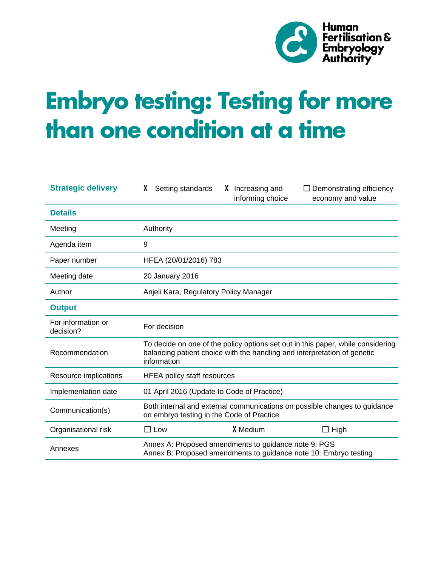

# **Embryo testing: Testing for more than one condition at a time**

| <b>Strategic delivery</b>       | X.<br>Setting standards                                                                                                                                                    | X Increasing and<br>informing choice | $\Box$ Demonstrating efficiency<br>economy and value |
|---------------------------------|----------------------------------------------------------------------------------------------------------------------------------------------------------------------------|--------------------------------------|------------------------------------------------------|
| <b>Details</b>                  |                                                                                                                                                                            |                                      |                                                      |
| Meeting                         | Authority                                                                                                                                                                  |                                      |                                                      |
| Agenda item                     | 9                                                                                                                                                                          |                                      |                                                      |
| Paper number                    | HFEA (20/01/2016) 783                                                                                                                                                      |                                      |                                                      |
| Meeting date                    | 20 January 2016                                                                                                                                                            |                                      |                                                      |
| Author                          | Anjeli Kara, Regulatory Policy Manager                                                                                                                                     |                                      |                                                      |
| <b>Output</b>                   |                                                                                                                                                                            |                                      |                                                      |
| For information or<br>decision? | For decision                                                                                                                                                               |                                      |                                                      |
| Recommendation                  | To decide on one of the policy options set out in this paper, while considering<br>balancing patient choice with the handling and interpretation of genetic<br>information |                                      |                                                      |
| Resource implications           | <b>HFEA policy staff resources</b>                                                                                                                                         |                                      |                                                      |
| Implementation date             | 01 April 2016 (Update to Code of Practice)                                                                                                                                 |                                      |                                                      |
| Communication(s)                | Both internal and external communications on possible changes to guidance<br>on embryo testing in the Code of Practice                                                     |                                      |                                                      |
| Organisational risk             | $\square$ Low                                                                                                                                                              | <b>X</b> Medium                      | $\Box$ High                                          |
| Annexes                         | Annex A: Proposed amendments to guidance note 9: PGS<br>Annex B: Proposed amendments to guidance note 10: Embryo testing                                                   |                                      |                                                      |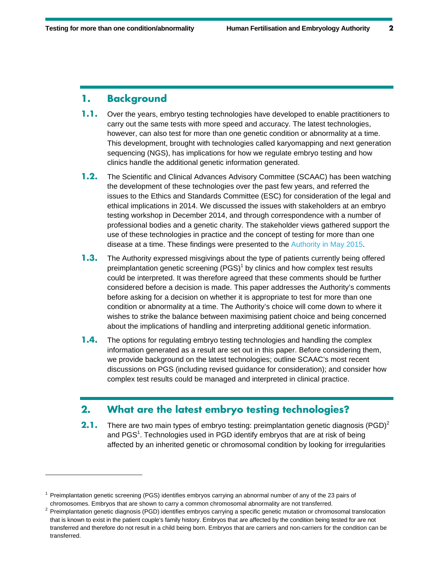# **1. Background**

1

- **1.1.** Over the years, embryo testing technologies have developed to enable practitioners to carry out the same tests with more speed and accuracy. The latest technologies, however, can also test for more than one genetic condition or abnormality at a time. This development, brought with technologies called karyomapping and next generation sequencing (NGS), has implications for how we regulate embryo testing and how clinics handle the additional genetic information generated.
- **1.2.** The Scientific and Clinical Advances Advisory Committee (SCAAC) has been watching the development of these technologies over the past few years, and referred the issues to the Ethics and Standards Committee (ESC) for consideration of the legal and ethical implications in 2014. We discussed the issues with stakeholders at an embryo testing workshop in December 2014, and through correspondence with a number of professional bodies and a genetic charity. The stakeholder views gathered support the use of these technologies in practice and the concept of testing for more than one disease at a time. These findings were presented to the Authority in May 2015.
- **1.3.** The Authority expressed misgivings about the type of patients currently being offered preimplantation genetic screening  $(PGS)^1$  by clinics and how complex test results could be interpreted. It was therefore agreed that these comments should be further considered before a decision is made. This paper addresses the Authority's comments before asking for a decision on whether it is appropriate to test for more than one condition or abnormality at a time. The Authority's choice will come down to where it wishes to strike the balance between maximising patient choice and being concerned about the implications of handling and interpreting additional genetic information.
- **1.4.** The options for regulating embryo testing technologies and handling the complex information generated as a result are set out in this paper. Before considering them, we provide background on the latest technologies; outline SCAAC's most recent discussions on PGS (including revised guidance for consideration); and consider how complex test results could be managed and interpreted in clinical practice.

# **2. What are the latest embryo testing technologies?**

**2.1.** There are two main types of embryo testing: preimplantation genetic diagnosis (PGD)<sup>2</sup> and PGS<sup>1</sup>. Technologies used in PGD identify embryos that are at risk of being affected by an inherited genetic or chromosomal condition by looking for irregularities

<sup>&</sup>lt;sup>1</sup> Preimplantation genetic screening (PGS) identifies embryos carrying an abnormal number of any of the 23 pairs of chromosomes. Embryos that are shown to carry a common chromosomal abnormality are not transferred.

<sup>&</sup>lt;sup>2</sup> Preimplantation genetic diagnosis (PGD) identifies embryos carrying a specific genetic mutation or chromosomal translocation that is known to exist in the patient couple's family history. Embryos that are affected by the condition being tested for are not transferred and therefore do not result in a child being born. Embryos that are carriers and non-carriers for the condition can be transferred.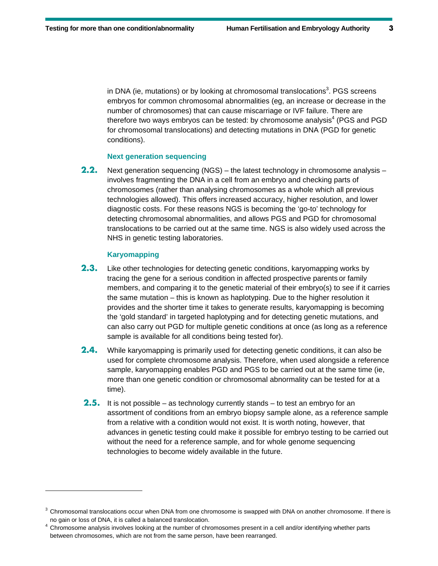in DNA (ie, mutations) or by looking at chromosomal translocations<sup>3</sup>. PGS screens embryos for common chromosomal abnormalities (eg, an increase or decrease in the number of chromosomes) that can cause miscarriage or IVF failure. There are therefore two ways embryos can be tested: by chromosome analysis<sup>4</sup> (PGS and PGD for chromosomal translocations) and detecting mutations in DNA (PGD for genetic conditions).

#### **Next generation sequencing**

**2.2.** Next generation sequencing (NGS) – the latest technology in chromosome analysis – involves fragmenting the DNA in a cell from an embryo and checking parts of chromosomes (rather than analysing chromosomes as a whole which all previous technologies allowed). This offers increased accuracy, higher resolution, and lower diagnostic costs. For these reasons NGS is becoming the 'go-to' technology for detecting chromosomal abnormalities, and allows PGS and PGD for chromosomal translocations to be carried out at the same time. NGS is also widely used across the NHS in genetic testing laboratories.

# **Karyomapping**

-

- **2.3.** Like other technologies for detecting genetic conditions, karyomapping works by tracing the gene for a serious condition in affected prospective parents or family members, and comparing it to the genetic material of their embryo(s) to see if it carries the same mutation – this is known as haplotyping. Due to the higher resolution it provides and the shorter time it takes to generate results, karyomapping is becoming the 'gold standard' in targeted haplotyping and for detecting genetic mutations, and can also carry out PGD for multiple genetic conditions at once (as long as a reference sample is available for all conditions being tested for).
- **2.4.** While karyomapping is primarily used for detecting genetic conditions, it can also be used for complete chromosome analysis. Therefore, when used alongside a reference sample, karyomapping enables PGD and PGS to be carried out at the same time (ie, more than one genetic condition or chromosomal abnormality can be tested for at a time).
- **2.5.** It is not possible as technology currently stands to test an embryo for an assortment of conditions from an embryo biopsy sample alone, as a reference sample from a relative with a condition would not exist. It is worth noting, however, that advances in genetic testing could make it possible for embryo testing to be carried out without the need for a reference sample, and for whole genome sequencing technologies to become widely available in the future.

 $3$  Chromosomal translocations occur when DNA from one chromosome is swapped with DNA on another chromosome. If there is no gain or loss of DNA, it is called a balanced translocation.

<sup>4</sup> Chromosome analysis involves looking at the number of chromosomes present in a cell and/or identifying whether parts between chromosomes, which are not from the same person, have been rearranged.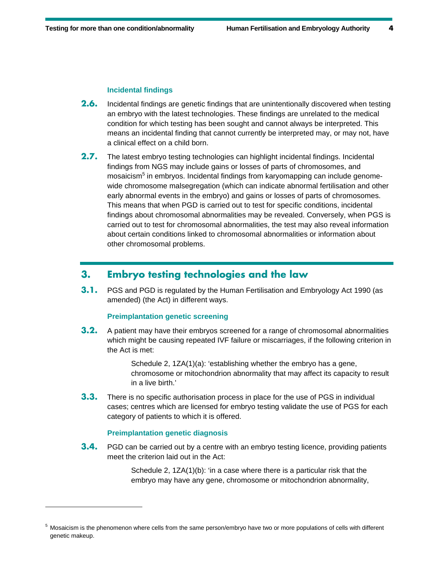# **Incidental findings**

- **2.6.** Incidental findings are genetic findings that are unintentionally discovered when testing an embryo with the latest technologies. These findings are unrelated to the medical condition for which testing has been sought and cannot always be interpreted. This means an incidental finding that cannot currently be interpreted may, or may not, have a clinical effect on a child born.
- **2.7.** The latest embryo testing technologies can highlight incidental findings. Incidental findings from NGS may include gains or losses of parts of chromosomes, and mosaicism<sup>5</sup> in embryos. Incidental findings from karyomapping can include genomewide chromosome malsegregation (which can indicate abnormal fertilisation and other early abnormal events in the embryo) and gains or losses of parts of chromosomes. This means that when PGD is carried out to test for specific conditions, incidental findings about chromosomal abnormalities may be revealed. Conversely, when PGS is carried out to test for chromosomal abnormalities, the test may also reveal information about certain conditions linked to chromosomal abnormalities or information about other chromosomal problems.

# **3. Embryo testing technologies and the law**

**3.1.** PGS and PGD is regulated by the Human Fertilisation and Embryology Act 1990 (as amended) (the Act) in different ways.

# **Preimplantation genetic screening**

**3.2.** A patient may have their embryos screened for a range of chromosomal abnormalities which might be causing repeated IVF failure or miscarriages, if the following criterion in the Act is met:

> Schedule 2, 1ZA(1)(a): 'establishing whether the embryo has a gene, chromosome or mitochondrion abnormality that may affect its capacity to result in a live birth.'

**3.3.** There is no specific authorisation process in place for the use of PGS in individual cases; centres which are licensed for embryo testing validate the use of PGS for each category of patients to which it is offered.

## **Preimplantation genetic diagnosis**

-

**3.4.** PGD can be carried out by a centre with an embryo testing licence, providing patients meet the criterion laid out in the Act:

> Schedule 2, 1ZA(1)(b): 'in a case where there is a particular risk that the embryo may have any gene, chromosome or mitochondrion abnormality,

<sup>5</sup> Mosaicism is the phenomenon where cells from the same person/embryo have two or more populations of cells with different genetic makeup.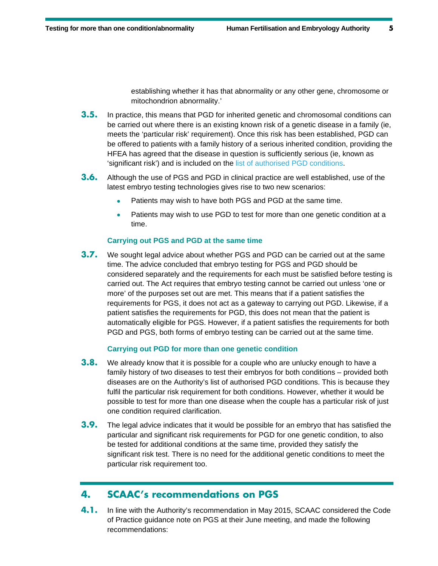establishing whether it has that abnormality or any other gene, chromosome or mitochondrion abnormality.'

- **3.5.** In practice, this means that PGD for inherited genetic and chromosomal conditions can be carried out where there is an existing known risk of a genetic disease in a family (ie, meets the 'particular risk' requirement). Once this risk has been established, PGD can be offered to patients with a family history of a serious inherited condition, providing the HFEA has agreed that the disease in question is sufficiently serious (ie, known as 'significant risk') and is included on the list of authorised PGD conditions.
- **3.6.** Although the use of PGS and PGD in clinical practice are well established, use of the latest embryo testing technologies gives rise to two new scenarios:
	- Patients may wish to have both PGS and PGD at the same time.
	- Patients may wish to use PGD to test for more than one genetic condition at a time.

# **Carrying out PGS and PGD at the same time**

**3.7.** We sought legal advice about whether PGS and PGD can be carried out at the same time. The advice concluded that embryo testing for PGS and PGD should be considered separately and the requirements for each must be satisfied before testing is carried out. The Act requires that embryo testing cannot be carried out unless 'one or more' of the purposes set out are met. This means that if a patient satisfies the requirements for PGS, it does not act as a gateway to carrying out PGD. Likewise, if a patient satisfies the requirements for PGD, this does not mean that the patient is automatically eligible for PGS. However, if a patient satisfies the requirements for both PGD and PGS, both forms of embryo testing can be carried out at the same time.

# **Carrying out PGD for more than one genetic condition**

- **3.8.** We already know that it is possible for a couple who are unlucky enough to have a family history of two diseases to test their embryos for both conditions – provided both diseases are on the Authority's list of authorised PGD conditions. This is because they fulfil the particular risk requirement for both conditions. However, whether it would be possible to test for more than one disease when the couple has a particular risk of just one condition required clarification.
- **3.9.** The legal advice indicates that it would be possible for an embryo that has satisfied the particular and significant risk requirements for PGD for one genetic condition, to also be tested for additional conditions at the same time, provided they satisfy the significant risk test. There is no need for the additional genetic conditions to meet the particular risk requirement too.

# **4. SCAAC's recommendations on PGS**

**4.1.** In line with the Authority's recommendation in May 2015, SCAAC considered the Code of Practice guidance note on PGS at their June meeting, and made the following recommendations: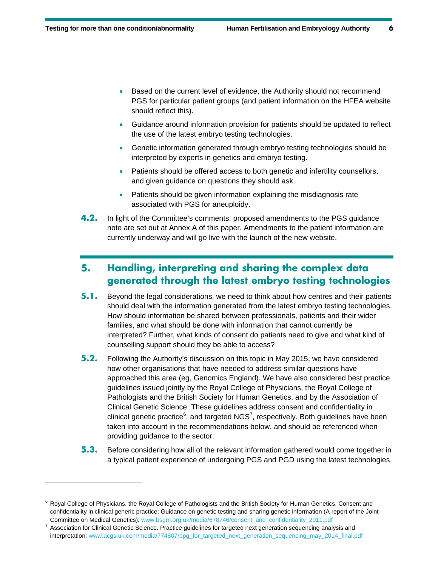-

- Based on the current level of evidence, the Authority should not recommend PGS for particular patient groups (and patient information on the HFEA website should reflect this).
- Guidance around information provision for patients should be updated to reflect the use of the latest embryo testing technologies.
- Genetic information generated through embryo testing technologies should be interpreted by experts in genetics and embryo testing.
- Patients should be offered access to both genetic and infertility counsellors, and given guidance on questions they should ask.
- Patients should be given information explaining the misdiagnosis rate associated with PGS for aneuploidy.
- **4.2.** In light of the Committee's comments, proposed amendments to the PGS guidance note are set out at Annex A of this paper. Amendments to the patient information are currently underway and will go live with the launch of the new website.

# **5. Handling, interpreting and sharing the complex data generated through the latest embryo testing technologies**

- **5.1.** Beyond the legal considerations, we need to think about how centres and their patients should deal with the information generated from the latest embryo testing technologies. How should information be shared between professionals, patients and their wider families, and what should be done with information that cannot currently be interpreted? Further, what kinds of consent do patients need to give and what kind of counselling support should they be able to access?
- **5.2.** Following the Authority's discussion on this topic in May 2015, we have considered how other organisations that have needed to address similar questions have approached this area (eg, Genomics England). We have also considered best practice guidelines issued jointly by the Royal College of Physicians, the Royal College of Pathologists and the British Society for Human Genetics, and by the Association of Clinical Genetic Science. These guidelines address consent and confidentiality in clinical genetic practice<sup>6</sup>, and targeted NGS<sup>7</sup>, respectively. Both guidelines have been taken into account in the recommendations below, and should be referenced when providing guidance to the sector.
- **5.3.** Before considering how all of the relevant information gathered would come together in a typical patient experience of undergoing PGS and PGD using the latest technologies,

<sup>&</sup>lt;sup>6</sup> Royal College of Physicians, the Royal College of Pathologists and the British Society for Human Genetics. Consent and confidentiality in clinical generic practice: Guidance on genetic testing and sharing genetic information (A report of the Joint Committee on Medical Genetics): www.bsgm.org.uk/media/678746/consent\_and\_confidentiality\_2011.pdf

Association for Clinical Genetic Science. Practice guidelines for targeted next generation sequencing analysis and interpretation: www.acgs.uk.com/media/774807/bpg\_for\_targeted\_next\_generation\_sequencing\_may\_2014\_final.pdf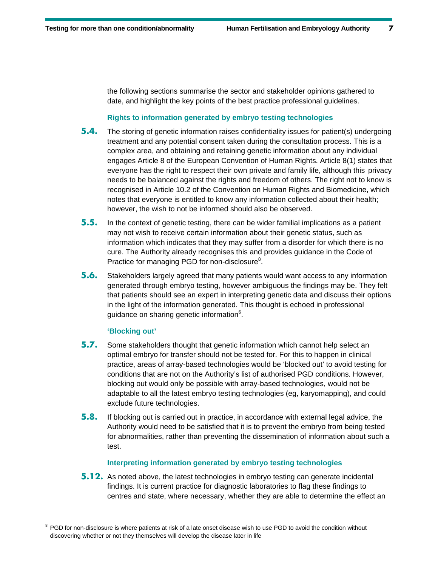the following sections summarise the sector and stakeholder opinions gathered to date, and highlight the key points of the best practice professional guidelines.

# **Rights to information generated by embryo testing technologies**

- **5.4.** The storing of genetic information raises confidentiality issues for patient(s) undergoing treatment and any potential consent taken during the consultation process. This is a complex area, and obtaining and retaining genetic information about any individual engages Article 8 of the European Convention of Human Rights. Article 8(1) states that everyone has the right to respect their own private and family life, although this privacy needs to be balanced against the rights and freedom of others. The right not to know is recognised in Article 10.2 of the Convention on Human Rights and Biomedicine, which notes that everyone is entitled to know any information collected about their health; however, the wish to not be informed should also be observed.
- **5.5.** In the context of genetic testing, there can be wider familial implications as a patient may not wish to receive certain information about their genetic status, such as information which indicates that they may suffer from a disorder for which there is no cure. The Authority already recognises this and provides guidance in the Code of Practice for managing PGD for non-disclosure<sup>8</sup>.
- **5.6.** Stakeholders largely agreed that many patients would want access to any information generated through embryo testing, however ambiguous the findings may be. They felt that patients should see an expert in interpreting genetic data and discuss their options in the light of the information generated. This thought is echoed in professional guidance on sharing genetic information<sup>6</sup>.

# **'Blocking out'**

-

- **5.7.** Some stakeholders thought that genetic information which cannot help select an optimal embryo for transfer should not be tested for. For this to happen in clinical practice, areas of array-based technologies would be 'blocked out' to avoid testing for conditions that are not on the Authority's list of authorised PGD conditions. However, blocking out would only be possible with array-based technologies, would not be adaptable to all the latest embryo testing technologies (eg, karyomapping), and could exclude future technologies.
- **5.8.** If blocking out is carried out in practice, in accordance with external legal advice, the Authority would need to be satisfied that it is to prevent the embryo from being tested for abnormalities, rather than preventing the dissemination of information about such a test.

## **Interpreting information generated by embryo testing technologies**

**5.12.** As noted above, the latest technologies in embryo testing can generate incidental findings. It is current practice for diagnostic laboratories to flag these findings to centres and state, where necessary, whether they are able to determine the effect an

 $8$  PGD for non-disclosure is where patients at risk of a late onset disease wish to use PGD to avoid the condition without discovering whether or not they themselves will develop the disease later in life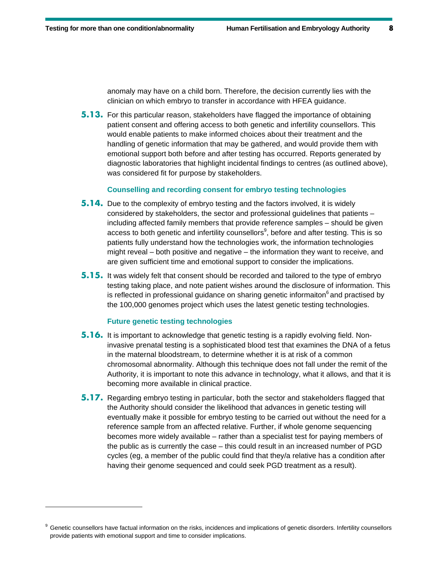anomaly may have on a child born. Therefore, the decision currently lies with the clinician on which embryo to transfer in accordance with HFEA guidance.

**5.13.** For this particular reason, stakeholders have flagged the importance of obtaining patient consent and offering access to both genetic and infertility counsellors. This would enable patients to make informed choices about their treatment and the handling of genetic information that may be gathered, and would provide them with emotional support both before and after testing has occurred. Reports generated by diagnostic laboratories that highlight incidental findings to centres (as outlined above), was considered fit for purpose by stakeholders.

## **Counselling and recording consent for embryo testing technologies**

- **5.14.** Due to the complexity of embryo testing and the factors involved, it is widely considered by stakeholders, the sector and professional guidelines that patients – including affected family members that provide reference samples – should be given access to both genetic and infertility counsellors<sup>9</sup>, before and after testing. This is so patients fully understand how the technologies work, the information technologies might reveal – both positive and negative – the information they want to receive, and are given sufficient time and emotional support to consider the implications.
- **5.15.** It was widely felt that consent should be recorded and tailored to the type of embryo testing taking place, and note patient wishes around the disclosure of information. This is reflected in professional guidance on sharing genetic informaiton $<sup>6</sup>$  and practised by</sup> the 100,000 genomes project which uses the latest genetic testing technologies.

## **Future genetic testing technologies**

-

- **5.16.** It is important to acknowledge that genetic testing is a rapidly evolving field. Noninvasive prenatal testing is a sophisticated blood test that examines the DNA of a fetus in the maternal bloodstream, to determine whether it is at risk of a common chromosomal abnormality. Although this technique does not fall under the remit of the Authority, it is important to note this advance in technology, what it allows, and that it is becoming more available in clinical practice.
- **5.17.** Regarding embryo testing in particular, both the sector and stakeholders flagged that the Authority should consider the likelihood that advances in genetic testing will eventually make it possible for embryo testing to be carried out without the need for a reference sample from an affected relative. Further, if whole genome sequencing becomes more widely available – rather than a specialist test for paying members of the public as is currently the case – this could result in an increased number of PGD cycles (eg, a member of the public could find that they/a relative has a condition after having their genome sequenced and could seek PGD treatment as a result).

<sup>9</sup> Genetic counsellors have factual information on the risks, incidences and implications of genetic disorders. Infertility counsellors provide patients with emotional support and time to consider implications.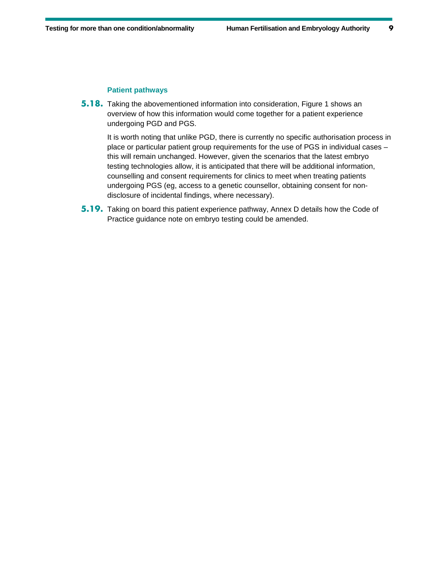# **Patient pathways**

**5.18.** Taking the abovementioned information into consideration, Figure 1 shows an overview of how this information would come together for a patient experience undergoing PGD and PGS.

It is worth noting that unlike PGD, there is currently no specific authorisation process in place or particular patient group requirements for the use of PGS in individual cases – this will remain unchanged. However, given the scenarios that the latest embryo testing technologies allow, it is anticipated that there will be additional information, counselling and consent requirements for clinics to meet when treating patients undergoing PGS (eg, access to a genetic counsellor, obtaining consent for nondisclosure of incidental findings, where necessary).

**5.19.** Taking on board this patient experience pathway, Annex D details how the Code of Practice guidance note on embryo testing could be amended.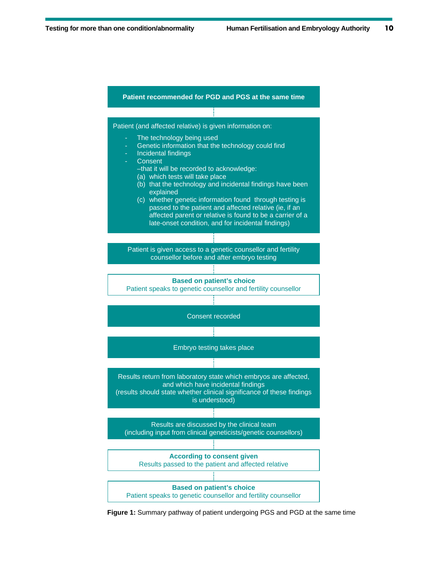

**Figure 1:** Summary pathway of patient undergoing PGS and PGD at the same time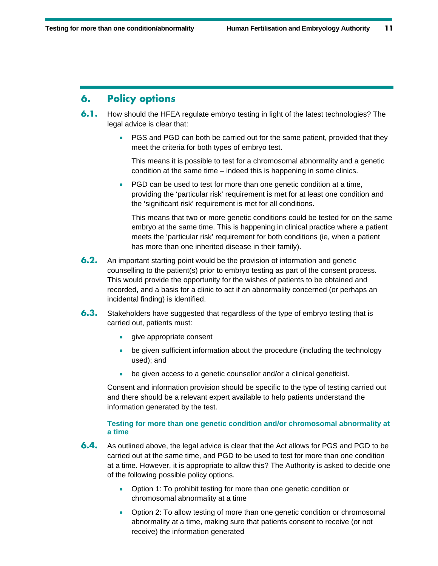# **6. Policy options**

- **6.1.** How should the HFEA regulate embryo testing in light of the latest technologies? The legal advice is clear that:
	- PGS and PGD can both be carried out for the same patient, provided that they meet the criteria for both types of embryo test.

This means it is possible to test for a chromosomal abnormality and a genetic condition at the same time – indeed this is happening in some clinics.

• PGD can be used to test for more than one genetic condition at a time, providing the 'particular risk' requirement is met for at least one condition and the 'significant risk' requirement is met for all conditions.

This means that two or more genetic conditions could be tested for on the same embryo at the same time. This is happening in clinical practice where a patient meets the 'particular risk' requirement for both conditions (ie, when a patient has more than one inherited disease in their family).

- **6.2.** An important starting point would be the provision of information and genetic counselling to the patient(s) prior to embryo testing as part of the consent process. This would provide the opportunity for the wishes of patients to be obtained and recorded, and a basis for a clinic to act if an abnormality concerned (or perhaps an incidental finding) is identified.
- **6.3.** Stakeholders have suggested that regardless of the type of embryo testing that is carried out, patients must:
	- give appropriate consent
	- be given sufficient information about the procedure (including the technology used); and
	- be given access to a genetic counsellor and/or a clinical geneticist.

Consent and information provision should be specific to the type of testing carried out and there should be a relevant expert available to help patients understand the information generated by the test.

# **Testing for more than one genetic condition and/or chromosomal abnormality at a time**

- **6.4.** As outlined above, the legal advice is clear that the Act allows for PGS and PGD to be carried out at the same time, and PGD to be used to test for more than one condition at a time. However, it is appropriate to allow this? The Authority is asked to decide one of the following possible policy options.
	- Option 1: To prohibit testing for more than one genetic condition or chromosomal abnormality at a time
	- Option 2: To allow testing of more than one genetic condition or chromosomal abnormality at a time, making sure that patients consent to receive (or not receive) the information generated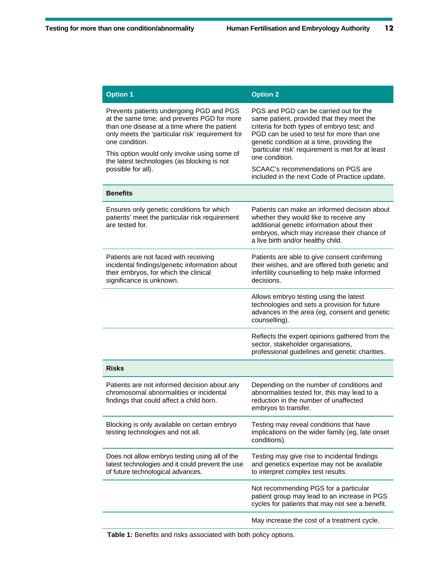| <b>Option 1</b>                                                                                                                                                                                                                                               | <b>Option 2</b>                                                                                                                                                                                                                                                                    |  |
|---------------------------------------------------------------------------------------------------------------------------------------------------------------------------------------------------------------------------------------------------------------|------------------------------------------------------------------------------------------------------------------------------------------------------------------------------------------------------------------------------------------------------------------------------------|--|
| Prevents patients undergoing PGD and PGS<br>at the same time; and prevents PGD for more<br>than one disease at a time where the patient<br>only meets the 'particular risk' requirement for<br>one condition.<br>This option would only involve using some of | PGS and PGD can be carried out for the<br>same patient, provided that they meet the<br>criteria for both types of embryo test; and<br>PGD can be used to test for more than one<br>genetic condition at a time, providing the<br>'particular risk' requirement is met for at least |  |
| the latest technologies (as blocking is not<br>possible for all).                                                                                                                                                                                             | one condition.<br>SCAAC's recommendations on PGS are<br>included in the next Code of Practice update.                                                                                                                                                                              |  |
| <b>Benefits</b>                                                                                                                                                                                                                                               |                                                                                                                                                                                                                                                                                    |  |
| Ensures only genetic conditions for which<br>patients' meet the particular risk requirement<br>are tested for.                                                                                                                                                | Patients can make an informed decision about<br>whether they would like to receive any<br>additional genetic information about their<br>embryos, which may increase their chance of<br>a live birth and/or healthy child.                                                          |  |
| Patients are not faced with receiving<br>incidental findings/genetic information about<br>their embryos, for which the clinical<br>significance is unknown.                                                                                                   | Patients are able to give consent confirming<br>their wishes, and are offered both genetic and<br>infertility counselling to help make informed<br>decisions.                                                                                                                      |  |
|                                                                                                                                                                                                                                                               | Allows embryo testing using the latest<br>technologies and sets a provision for future<br>advances in the area (eg, consent and genetic<br>counselling).                                                                                                                           |  |
|                                                                                                                                                                                                                                                               | Reflects the expert opinions gathered from the<br>sector, stakeholder organisations,<br>professional guidelines and genetic charities.                                                                                                                                             |  |
| <b>Risks</b>                                                                                                                                                                                                                                                  |                                                                                                                                                                                                                                                                                    |  |
| Patients are not informed decision about any<br>chromosomal abnormalities or incidental<br>findings that could affect a child born.                                                                                                                           | Depending on the number of conditions and<br>abnormalities tested for, this may lead to a<br>reduction in the number of unaffected<br>embryos to transfer.                                                                                                                         |  |
| Blocking is only available on certain embryo<br>testing technologies and not all.                                                                                                                                                                             | Testing may reveal conditions that have<br>implications on the wider family (eg, late onset<br>conditions).                                                                                                                                                                        |  |
| Does not allow embryo testing using all of the<br>latest technologies and it could prevent the use<br>of future technological advances.                                                                                                                       | Testing may give rise to incidental findings<br>and genetics expertise may not be available<br>to interpret complex test results.                                                                                                                                                  |  |
|                                                                                                                                                                                                                                                               | Not recommending PGS for a particular<br>patient group may lead to an increase in PGS<br>cycles for patients that may not see a benefit.                                                                                                                                           |  |
|                                                                                                                                                                                                                                                               | May increase the cost of a treatment cycle.                                                                                                                                                                                                                                        |  |

**Table 1:** Benefits and risks associated with both policy options.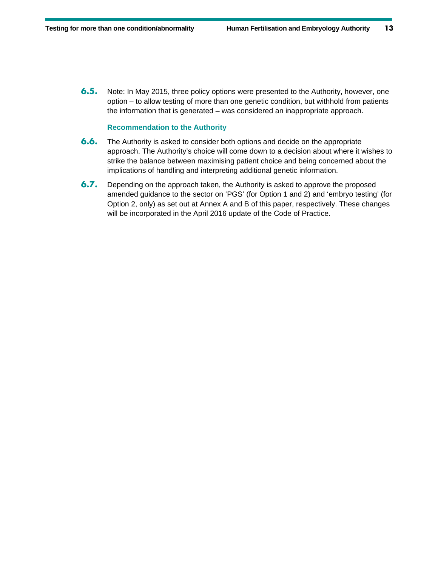**6.5.** Note: In May 2015, three policy options were presented to the Authority, however, one option – to allow testing of more than one genetic condition, but withhold from patients the information that is generated – was considered an inappropriate approach.

# **Recommendation to the Authority**

- **6.6.** The Authority is asked to consider both options and decide on the appropriate approach. The Authority's choice will come down to a decision about where it wishes to strike the balance between maximising patient choice and being concerned about the implications of handling and interpreting additional genetic information.
- **6.7.** Depending on the approach taken, the Authority is asked to approve the proposed amended guidance to the sector on 'PGS' (for Option 1 and 2) and 'embryo testing' (for Option 2, only) as set out at Annex A and B of this paper, respectively. These changes will be incorporated in the April 2016 update of the Code of Practice.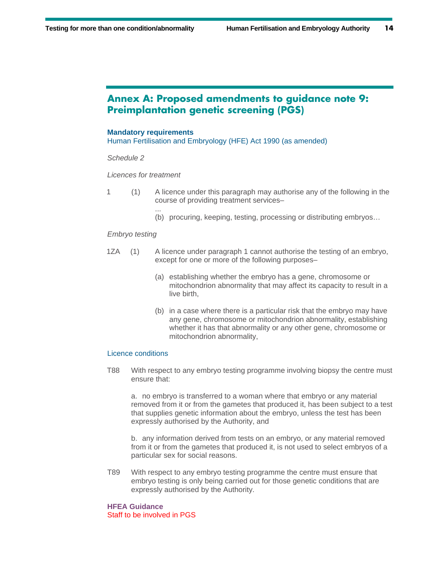# **Annex A: Proposed amendments to guidance note 9: Preimplantation genetic screening (PGS)**

#### **Mandatory requirements**

Human Fertilisation and Embryology (HFE) Act 1990 (as amended)

*Schedule 2* 

# *Licences for treatment*

...

- 1 (1) A licence under this paragraph may authorise any of the following in the course of providing treatment services–
	- (b) procuring, keeping, testing, processing or distributing embryos…

#### *Embryo testing*

- 1ZA(1) A licence under paragraph 1 cannot authorise the testing of an embryo, except for one or more of the following purposes–
	- (a) establishing whether the embryo has a gene, chromosome or mitochondrion abnormality that may affect its capacity to result in a live birth,
	- (b) in a case where there is a particular risk that the embryo may have any gene, chromosome or mitochondrion abnormality, establishing whether it has that abnormality or any other gene, chromosome or mitochondrion abnormality,

# Licence conditions

T88 With respect to any embryo testing programme involving biopsy the centre must ensure that:

a. no embryo is transferred to a woman where that embryo or any material removed from it or from the gametes that produced it, has been subject to a test that supplies genetic information about the embryo, unless the test has been expressly authorised by the Authority, and

b. any information derived from tests on an embryo, or any material removed from it or from the gametes that produced it, is not used to select embryos of a particular sex for social reasons.

T89 With respect to any embryo testing programme the centre must ensure that embryo testing is only being carried out for those genetic conditions that are expressly authorised by the Authority.

**HFEA Guidance**  Staff to be involved in PGS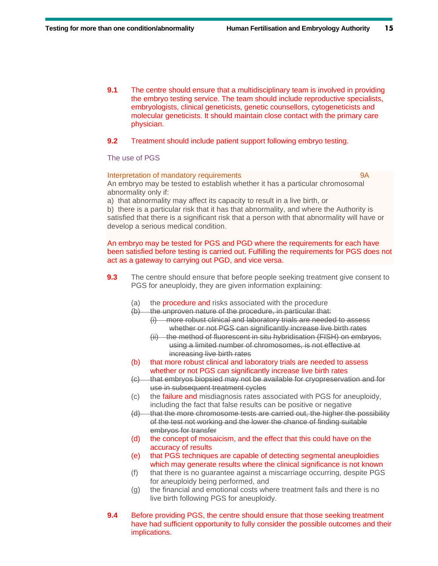**9.1** The centre should ensure that a multidisciplinary team is involved in providing the embryo testing service. The team should include reproductive specialists, embryologists, clinical geneticists, genetic counsellors, cytogeneticists and molecular geneticists. It should maintain close contact with the primary care physician.

# **9.2** Treatment should include patient support following embryo testing.

The use of PGS

#### Interpretation of mandatory requirements example that the state of the state of the state of the state of the state of the state of the state of the state of the state of the state of the state of the state of the state of

An embryo may be tested to establish whether it has a particular chromosomal abnormality only if:

a) that abnormality may affect its capacity to result in a live birth, or

b) there is a particular risk that it has that abnormality, and where the Authority is satisfied that there is a significant risk that a person with that abnormality will have or develop a serious medical condition.

# An embryo may be tested for PGS and PGD where the requirements for each have been satisfied before testing is carried out. Fulfilling the requirements for PGS does not act as a gateway to carrying out PGD, and vice versa.

- **9.3** The centre should ensure that before people seeking treatment give consent to PGS for aneuploidy, they are given information explaining:
	- (a) the procedure and risks associated with the procedure
	- $(b)$  the unproven nature of the procedure, in particular that: (i) more robust clinical and laboratory trials are needed to assess whether or not PGS can significantly increase live birth rates
		- (ii) the method of fluorescent in situ hybridisation (FISH) on embryos, using a limited number of chromosomes, is not effective at increasing live birth rates
	- (b) that more robust clinical and laboratory trials are needed to assess whether or not PGS can significantly increase live birth rates
	- (c) that embryos biopsied may not be available for cryopreservation and for use in subsequent treatment cycles
	- (c) the failure and misdiagnosis rates associated with PGS for aneuploidy, including the fact that false results can be positive or negative
	- (d) that the more chromosome tests are carried out, the higher the possibility of the test not working and the lower the chance of finding suitable embryos for transfer
	- (d) the concept of mosaicism, and the effect that this could have on the accuracy of results
	- (e) that PGS techniques are capable of detecting segmental aneuploidies which may generate results where the clinical significance is not known
	- (f) that there is no guarantee against a miscarriage occurring, despite PGS for aneuploidy being performed, and
	- (g) the financial and emotional costs where treatment fails and there is no live birth following PGS for aneuploidy.
- **9.4** Before providing PGS, the centre should ensure that those seeking treatment have had sufficient opportunity to fully consider the possible outcomes and their implications.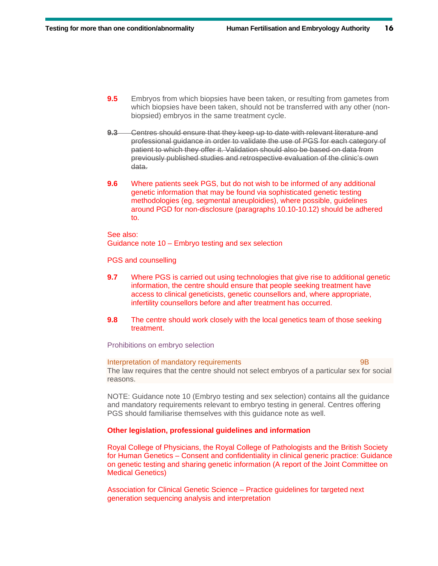- **9.5** Embryos from which biopsies have been taken, or resulting from gametes from which biopsies have been taken, should not be transferred with any other (nonbiopsied) embryos in the same treatment cycle.
- **9.3** Centres should ensure that they keep up to date with relevant literature and professional guidance in order to validate the use of PGS for each category of patient to which they offer it. Validation should also be based on data from previously published studies and retrospective evaluation of the clinic's own data.
- **9.6** Where patients seek PGS, but do not wish to be informed of any additional genetic information that may be found via sophisticated genetic testing methodologies (eg, segmental aneuploidies), where possible, guidelines around PGD for non-disclosure (paragraphs 10.10-10.12) should be adhered to.

See also: Guidance note 10 – Embryo testing and sex selection

PGS and counselling

- **9.7** Where PGS is carried out using technologies that give rise to additional genetic information, the centre should ensure that people seeking treatment have access to clinical geneticists, genetic counsellors and, where appropriate, infertility counsellors before and after treatment has occurred.
- **9.8** The centre should work closely with the local genetics team of those seeking treatment.

Prohibitions on embryo selection

Interpretation of mandatory requirements example that the state of the state of the state of the state of the state of the state of the state of the state of the state of the state of the state of the state of the state of The law requires that the centre should not select embryos of a particular sex for social reasons.

NOTE: Guidance note 10 (Embryo testing and sex selection) contains all the guidance and mandatory requirements relevant to embryo testing in general. Centres offering PGS should familiarise themselves with this guidance note as well.

# **Other legislation, professional guidelines and information**

Royal College of Physicians, the Royal College of Pathologists and the British Society for Human Genetics – Consent and confidentiality in clinical generic practice: Guidance on genetic testing and sharing genetic information (A report of the Joint Committee on Medical Genetics)

Association for Clinical Genetic Science – Practice guidelines for targeted next generation sequencing analysis and interpretation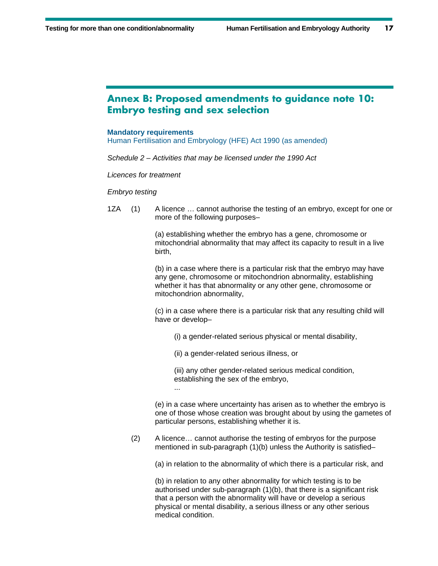# **Annex B: Proposed amendments to guidance note 10: Embryo testing and sex selection**

#### **Mandatory requirements**

Human Fertilisation and Embryology (HFE) Act 1990 (as amended)

*Schedule 2 – Activities that may be licensed under the 1990 Act*

*Licences for treatment* 

#### *Embryo testing*

1ZA (1) A licence … cannot authorise the testing of an embryo, except for one or more of the following purposes–

> (a) establishing whether the embryo has a gene, chromosome or mitochondrial abnormality that may affect its capacity to result in a live birth,

> (b) in a case where there is a particular risk that the embryo may have any gene, chromosome or mitochondrion abnormality, establishing whether it has that abnormality or any other gene, chromosome or mitochondrion abnormality,

> (c) in a case where there is a particular risk that any resulting child will have or develop–

(i) a gender-related serious physical or mental disability,

(ii) a gender-related serious illness, or

(iii) any other gender-related serious medical condition, establishing the sex of the embryo, ...

(e) in a case where uncertainty has arisen as to whether the embryo is one of those whose creation was brought about by using the gametes of particular persons, establishing whether it is.

(2) A licence… cannot authorise the testing of embryos for the purpose mentioned in sub-paragraph (1)(b) unless the Authority is satisfied–

(a) in relation to the abnormality of which there is a particular risk, and

(b) in relation to any other abnormality for which testing is to be authorised under sub-paragraph (1)(b), that there is a significant risk that a person with the abnormality will have or develop a serious physical or mental disability, a serious illness or any other serious medical condition.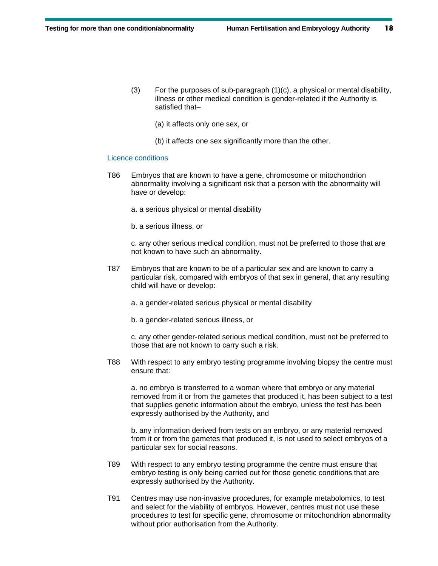- $(3)$  For the purposes of sub-paragraph  $(1)(c)$ , a physical or mental disability, illness or other medical condition is gender-related if the Authority is satisfied that–
	- (a) it affects only one sex, or
	- (b) it affects one sex significantly more than the other.

#### Licence conditions

- T86 Embryos that are known to have a gene, chromosome or mitochondrion abnormality involving a significant risk that a person with the abnormality will have or develop:
	- a. a serious physical or mental disability
	- b. a serious illness, or

 c. any other serious medical condition, must not be preferred to those that are not known to have such an abnormality.

- T87 Embryos that are known to be of a particular sex and are known to carry a particular risk, compared with embryos of that sex in general, that any resulting child will have or develop:
	- a. a gender-related serious physical or mental disability
	- b. a gender-related serious illness, or

 c. any other gender-related serious medical condition, must not be preferred to those that are not known to carry such a risk.

T88 With respect to any embryo testing programme involving biopsy the centre must ensure that:

 a. no embryo is transferred to a woman where that embryo or any material removed from it or from the gametes that produced it, has been subject to a test that supplies genetic information about the embryo, unless the test has been expressly authorised by the Authority, and

 b. any information derived from tests on an embryo, or any material removed from it or from the gametes that produced it, is not used to select embryos of a particular sex for social reasons.

- T89 With respect to any embryo testing programme the centre must ensure that embryo testing is only being carried out for those genetic conditions that are expressly authorised by the Authority.
- T91 Centres may use non-invasive procedures, for example metabolomics, to test and select for the viability of embryos. However, centres must not use these procedures to test for specific gene, chromosome or mitochondrion abnormality without prior authorisation from the Authority.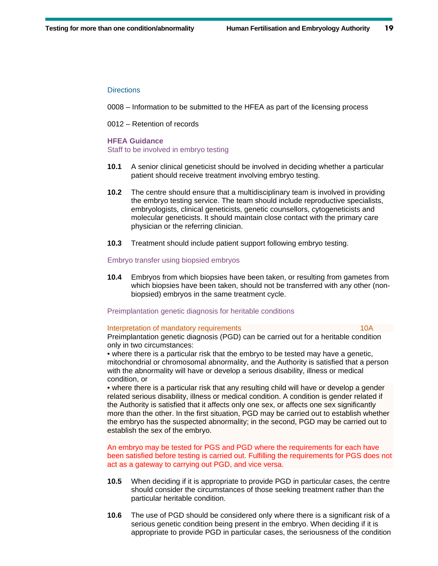# **Directions**

0008 – Information to be submitted to the HFEA as part of the licensing process

0012 – Retention of records

# **HFEA Guidance**

Staff to be involved in embryo testing

- **10.1** A senior clinical geneticist should be involved in deciding whether a particular patient should receive treatment involving embryo testing.
- **10.2** The centre should ensure that a multidisciplinary team is involved in providing the embryo testing service. The team should include reproductive specialists, embryologists, clinical geneticists, genetic counsellors, cytogeneticists and molecular geneticists. It should maintain close contact with the primary care physician or the referring clinician.
- **10.3** Treatment should include patient support following embryo testing.

# Embryo transfer using biopsied embryos

**10.4** Embryos from which biopsies have been taken, or resulting from gametes from which biopsies have been taken, should not be transferred with any other (nonbiopsied) embryos in the same treatment cycle.

#### Preimplantation genetic diagnosis for heritable conditions

#### Interpretation of mandatory requirements 10A

Preimplantation genetic diagnosis (PGD) can be carried out for a heritable condition only in two circumstances:

• where there is a particular risk that the embryo to be tested may have a genetic, mitochondrial or chromosomal abnormality, and the Authority is satisfied that a person with the abnormality will have or develop a serious disability, illness or medical condition, or

• where there is a particular risk that any resulting child will have or develop a gender related serious disability, illness or medical condition. A condition is gender related if the Authority is satisfied that it affects only one sex, or affects one sex significantly more than the other. In the first situation, PGD may be carried out to establish whether the embryo has the suspected abnormality; in the second, PGD may be carried out to establish the sex of the embryo.

An embryo may be tested for PGS and PGD where the requirements for each have been satisfied before testing is carried out. Fulfilling the requirements for PGS does not act as a gateway to carrying out PGD, and vice versa.

- **10.5** When deciding if it is appropriate to provide PGD in particular cases, the centre should consider the circumstances of those seeking treatment rather than the particular heritable condition.
- **10.6** The use of PGD should be considered only where there is a significant risk of a serious genetic condition being present in the embryo. When deciding if it is appropriate to provide PGD in particular cases, the seriousness of the condition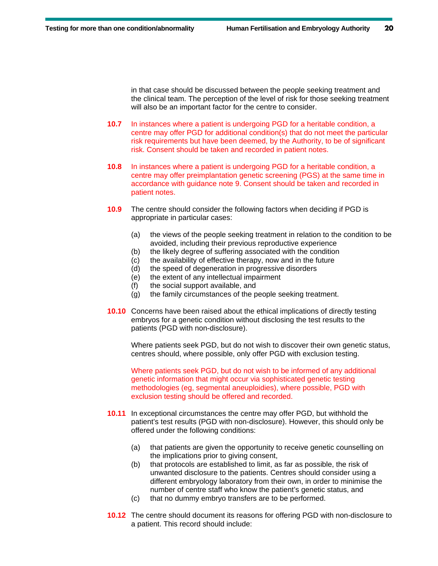in that case should be discussed between the people seeking treatment and the clinical team. The perception of the level of risk for those seeking treatment will also be an important factor for the centre to consider.

- **10.7** In instances where a patient is undergoing PGD for a heritable condition, a centre may offer PGD for additional condition(s) that do not meet the particular risk requirements but have been deemed, by the Authority, to be of significant risk. Consent should be taken and recorded in patient notes.
- **10.8** In instances where a patient is undergoing PGD for a heritable condition, a centre may offer preimplantation genetic screening (PGS) at the same time in accordance with guidance note 9. Consent should be taken and recorded in patient notes.
- **10.9** The centre should consider the following factors when deciding if PGD is appropriate in particular cases:
	- (a) the views of the people seeking treatment in relation to the condition to be avoided, including their previous reproductive experience
	- (b) the likely degree of suffering associated with the condition
	- (c) the availability of effective therapy, now and in the future
	- (d) the speed of degeneration in progressive disorders
	- (e) the extent of any intellectual impairment
	- (f) the social support available, and
	- (g) the family circumstances of the people seeking treatment.
- **10.10** Concerns have been raised about the ethical implications of directly testing embryos for a genetic condition without disclosing the test results to the patients (PGD with non-disclosure).

 Where patients seek PGD, but do not wish to discover their own genetic status, centres should, where possible, only offer PGD with exclusion testing.

 Where patients seek PGD, but do not wish to be informed of any additional genetic information that might occur via sophisticated genetic testing methodologies (eg, segmental aneuploidies), where possible, PGD with exclusion testing should be offered and recorded.

- **10.11** In exceptional circumstances the centre may offer PGD, but withhold the patient's test results (PGD with non-disclosure). However, this should only be offered under the following conditions:
	- (a) that patients are given the opportunity to receive genetic counselling on the implications prior to giving consent,
	- (b) that protocols are established to limit, as far as possible, the risk of unwanted disclosure to the patients. Centres should consider using a different embryology laboratory from their own, in order to minimise the number of centre staff who know the patient's genetic status, and
	- (c) that no dummy embryo transfers are to be performed.
- **10.12** The centre should document its reasons for offering PGD with non-disclosure to a patient. This record should include: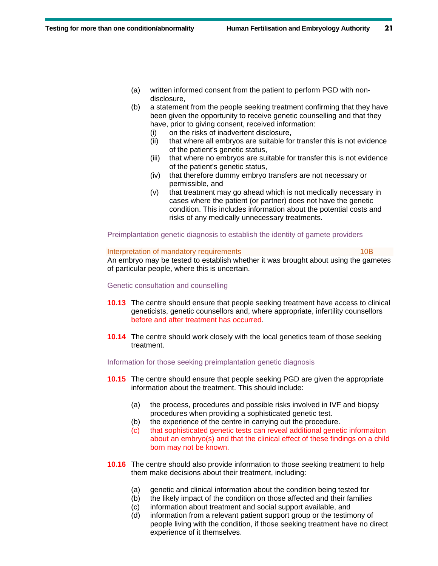- (a) written informed consent from the patient to perform PGD with nondisclosure,
- (b) a statement from the people seeking treatment confirming that they have been given the opportunity to receive genetic counselling and that they have, prior to giving consent, received information:
	- (i) on the risks of inadvertent disclosure,
	- (ii) that where all embryos are suitable for transfer this is not evidence of the patient's genetic status,
	- (iii) that where no embryos are suitable for transfer this is not evidence of the patient's genetic status,
	- (iv) that therefore dummy embryo transfers are not necessary or permissible, and
	- (v) that treatment may go ahead which is not medically necessary in cases where the patient (or partner) does not have the genetic condition. This includes information about the potential costs and risks of any medically unnecessary treatments.

Preimplantation genetic diagnosis to establish the identity of gamete providers

## Interpretation of mandatory requirements 10B

An embryo may be tested to establish whether it was brought about using the gametes of particular people, where this is uncertain.

## Genetic consultation and counselling

- **10.13** The centre should ensure that people seeking treatment have access to clinical geneticists, genetic counsellors and, where appropriate, infertility counsellors before and after treatment has occurred.
- **10.14** The centre should work closely with the local genetics team of those seeking treatment.

## Information for those seeking preimplantation genetic diagnosis

- **10.15** The centre should ensure that people seeking PGD are given the appropriate information about the treatment. This should include:
	- (a) the process, procedures and possible risks involved in IVF and biopsy procedures when providing a sophisticated genetic test.
	- (b) the experience of the centre in carrying out the procedure.
	- (c) that sophisticated genetic tests can reveal additional genetic informaiton about an embryo(s) and that the clinical effect of these findings on a child born may not be known.
- **10.16** The centre should also provide information to those seeking treatment to help them make decisions about their treatment, including:
	- (a) genetic and clinical information about the condition being tested for
	- (b) the likely impact of the condition on those affected and their families
	- (c) information about treatment and social support available, and
	- (d) information from a relevant patient support group or the testimony of people living with the condition, if those seeking treatment have no direct experience of it themselves.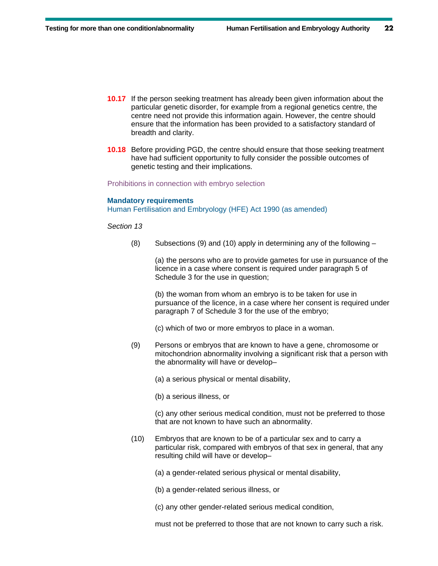- **10.17** If the person seeking treatment has already been given information about the particular genetic disorder, for example from a regional genetics centre, the centre need not provide this information again. However, the centre should ensure that the information has been provided to a satisfactory standard of breadth and clarity.
- **10.18** Before providing PGD, the centre should ensure that those seeking treatment have had sufficient opportunity to fully consider the possible outcomes of genetic testing and their implications.

#### Prohibitions in connection with embryo selection

#### **Mandatory requirements**

Human Fertilisation and Embryology (HFE) Act 1990 (as amended)

#### *Section 13*

(8) Subsections (9) and (10) apply in determining any of the following –

 (a) the persons who are to provide gametes for use in pursuance of the licence in a case where consent is required under paragraph 5 of Schedule 3 for the use in question;

 (b) the woman from whom an embryo is to be taken for use in pursuance of the licence, in a case where her consent is required under paragraph 7 of Schedule 3 for the use of the embryo;

(c) which of two or more embryos to place in a woman.

(9) Persons or embryos that are known to have a gene, chromosome or mitochondrion abnormality involving a significant risk that a person with the abnormality will have or develop–

(a) a serious physical or mental disability,

(b) a serious illness, or

 (c) any other serious medical condition, must not be preferred to those that are not known to have such an abnormality.

- (10) Embryos that are known to be of a particular sex and to carry a particular risk, compared with embryos of that sex in general, that any resulting child will have or develop–
	- (a) a gender-related serious physical or mental disability,
	- (b) a gender-related serious illness, or
	- (c) any other gender-related serious medical condition,

must not be preferred to those that are not known to carry such a risk.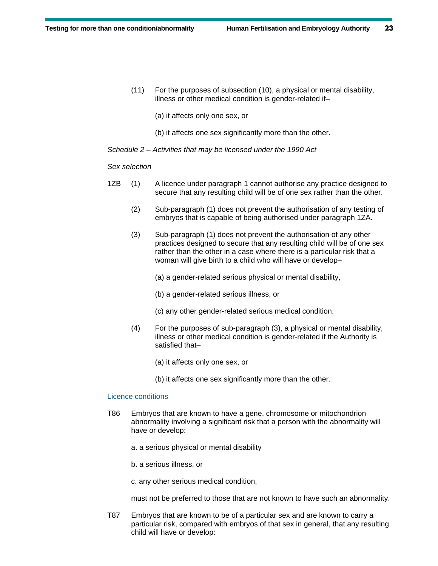- (11) For the purposes of subsection (10), a physical or mental disability, illness or other medical condition is gender-related if–
	- (a) it affects only one sex, or
	- (b) it affects one sex significantly more than the other.

*Schedule 2 – Activities that may be licensed under the 1990 Act* 

#### *Sex selection*

- 1ZB (1) A licence under paragraph 1 cannot authorise any practice designed to secure that any resulting child will be of one sex rather than the other.
	- (2) Sub-paragraph (1) does not prevent the authorisation of any testing of embryos that is capable of being authorised under paragraph 1ZA.
	- (3) Sub-paragraph (1) does not prevent the authorisation of any other practices designed to secure that any resulting child will be of one sex rather than the other in a case where there is a particular risk that a woman will give birth to a child who will have or develop–
		- (a) a gender-related serious physical or mental disability,
		- (b) a gender-related serious illness, or
		- (c) any other gender-related serious medical condition.
	- (4) For the purposes of sub-paragraph (3), a physical or mental disability, illness or other medical condition is gender-related if the Authority is satisfied that–
		- (a) it affects only one sex, or
		- (b) it affects one sex significantly more than the other.

#### Licence conditions

- T86 Embryos that are known to have a gene, chromosome or mitochondrion abnormality involving a significant risk that a person with the abnormality will have or develop:
	- a. a serious physical or mental disability
	- b. a serious illness, or
	- c. any other serious medical condition,

must not be preferred to those that are not known to have such an abnormality.

T87 Embryos that are known to be of a particular sex and are known to carry a particular risk, compared with embryos of that sex in general, that any resulting child will have or develop: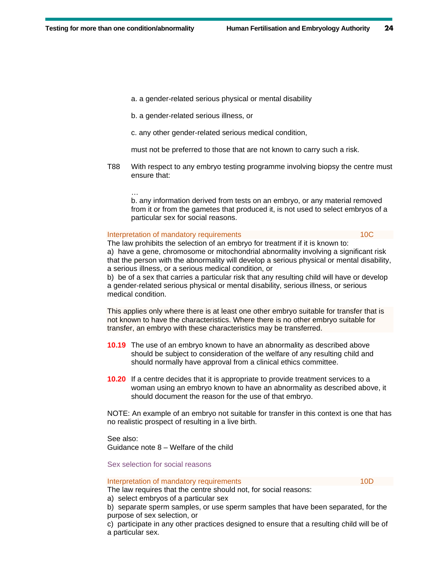…

- a. a gender-related serious physical or mental disability
- b. a gender-related serious illness, or
- c. any other gender-related serious medical condition,

must not be preferred to those that are not known to carry such a risk.

T88 With respect to any embryo testing programme involving biopsy the centre must ensure that:

 b. any information derived from tests on an embryo, or any material removed from it or from the gametes that produced it, is not used to select embryos of a particular sex for social reasons.

#### Interpretation of mandatory requirements 10C

The law prohibits the selection of an embryo for treatment if it is known to: a) have a gene, chromosome or mitochondrial abnormality involving a significant risk that the person with the abnormality will develop a serious physical or mental disability, a serious illness, or a serious medical condition, or

b) be of a sex that carries a particular risk that any resulting child will have or develop a gender-related serious physical or mental disability, serious illness, or serious medical condition.

This applies only where there is at least one other embryo suitable for transfer that is not known to have the characteristics. Where there is no other embryo suitable for transfer, an embryo with these characteristics may be transferred.

- **10.19** The use of an embryo known to have an abnormality as described above should be subject to consideration of the welfare of any resulting child and should normally have approval from a clinical ethics committee.
- **10.20** If a centre decides that it is appropriate to provide treatment services to a woman using an embryo known to have an abnormality as described above, it should document the reason for the use of that embryo.

NOTE: An example of an embryo not suitable for transfer in this context is one that has no realistic prospect of resulting in a live birth.

See also: Guidance note 8 – Welfare of the child

Sex selection for social reasons

#### Interpretation of mandatory requirements 10D 10D

The law requires that the centre should not, for social reasons:

a) select embryos of a particular sex

b) separate sperm samples, or use sperm samples that have been separated, for the purpose of sex selection, or

c) participate in any other practices designed to ensure that a resulting child will be of a particular sex.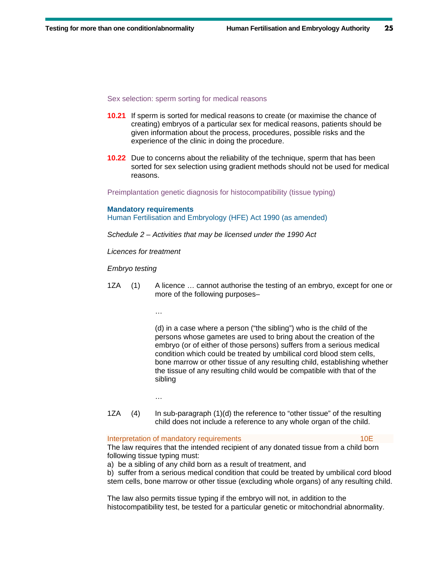#### Sex selection: sperm sorting for medical reasons

- **10.21** If sperm is sorted for medical reasons to create (or maximise the chance of creating) embryos of a particular sex for medical reasons, patients should be given information about the process, procedures, possible risks and the experience of the clinic in doing the procedure.
- **10.22** Due to concerns about the reliability of the technique, sperm that has been sorted for sex selection using gradient methods should not be used for medical reasons.

Preimplantation genetic diagnosis for histocompatibility (tissue typing)

#### **Mandatory requirements**

Human Fertilisation and Embryology (HFE) Act 1990 (as amended)

*Schedule 2 – Activities that may be licensed under the 1990 Act* 

*Licences for treatment* 

#### *Embryo testing*

1ZA (1) A licence … cannot authorise the testing of an embryo, except for one or more of the following purposes–

…

 (d) in a case where a person ("the sibling") who is the child of the persons whose gametes are used to bring about the creation of the embryo (or of either of those persons) suffers from a serious medical condition which could be treated by umbilical cord blood stem cells, bone marrow or other tissue of any resulting child, establishing whether the tissue of any resulting child would be compatible with that of the sibling

…

1ZA (4) In sub-paragraph (1)(d) the reference to "other tissue" of the resulting child does not include a reference to any whole organ of the child.

Interpretation of mandatory requirements 10E

The law requires that the intended recipient of any donated tissue from a child born following tissue typing must:

a) be a sibling of any child born as a result of treatment, and

b) suffer from a serious medical condition that could be treated by umbilical cord blood stem cells, bone marrow or other tissue (excluding whole organs) of any resulting child.

The law also permits tissue typing if the embryo will not, in addition to the histocompatibility test, be tested for a particular genetic or mitochondrial abnormality.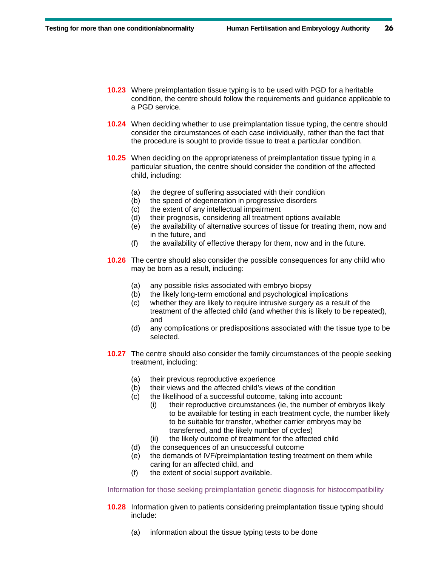- **10.23** Where preimplantation tissue typing is to be used with PGD for a heritable condition, the centre should follow the requirements and guidance applicable to a PGD service.
- **10.24** When deciding whether to use preimplantation tissue typing, the centre should consider the circumstances of each case individually, rather than the fact that the procedure is sought to provide tissue to treat a particular condition.
- **10.25** When deciding on the appropriateness of preimplantation tissue typing in a particular situation, the centre should consider the condition of the affected child, including:
	- (a) the degree of suffering associated with their condition
	- (b) the speed of degeneration in progressive disorders
	- (c) the extent of any intellectual impairment
	- (d) their prognosis, considering all treatment options available
	- (e) the availability of alternative sources of tissue for treating them, now and in the future, and
	- (f) the availability of effective therapy for them, now and in the future.
- **10.26** The centre should also consider the possible consequences for any child who may be born as a result, including:
	- (a) any possible risks associated with embryo biopsy
	- (b) the likely long-term emotional and psychological implications
	- (c) whether they are likely to require intrusive surgery as a result of the treatment of the affected child (and whether this is likely to be repeated), and
	- (d) any complications or predispositions associated with the tissue type to be selected.
- **10.27** The centre should also consider the family circumstances of the people seeking treatment, including:
	- (a) their previous reproductive experience
	- (b) their views and the affected child's views of the condition
	- (c) the likelihood of a successful outcome, taking into account:
		- (i) their reproductive circumstances (ie, the number of embryos likely to be available for testing in each treatment cycle, the number likely to be suitable for transfer, whether carrier embryos may be transferred, and the likely number of cycles)
		- (ii) the likely outcome of treatment for the affected child
	- (d) the consequences of an unsuccessful outcome
	- (e) the demands of IVF/preimplantation testing treatment on them while caring for an affected child, and
	- (f) the extent of social support available.

Information for those seeking preimplantation genetic diagnosis for histocompatibility

- **10.28** Information given to patients considering preimplantation tissue typing should include:
	- (a) information about the tissue typing tests to be done